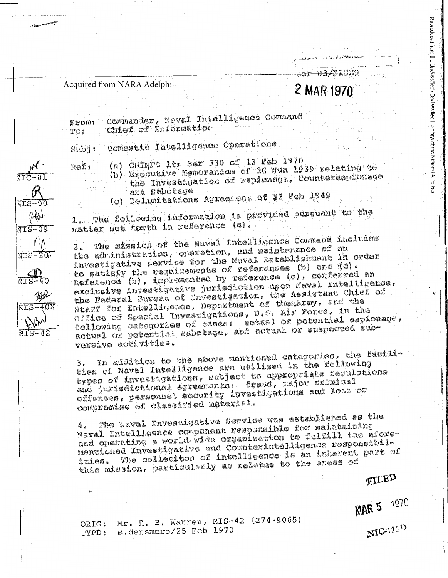## Acquired from NARA Adelphi

 $\sqrt{TS-0}$ 

 $\mathbb{W}$ 

**AIS-09** 

 $\sqrt{TS} - 20$ 

## **2 MAR 1970**

<del>Ser US/NISH</del>O

Reproduced from the Unclassified / Declassified Holdings of the National Archives

Commander, Naval Intelligence Command From: Chief of information TO:

Domestic Intelligence Operations  $Sub1:$ 

(a) CHINFO Itr Ser 330 of 13 Feb 1970 Ref:

(b) Executive Memorandum of 26 Jun 1939 relating to the Investigation of Espionage, Countersspionage and Sabotage

(c) Delimitations Agreement of 23 Feb 1949

1. The following information is provided pursuant to the matter set forth in reference (a).

The mission of the Naval Intelligence Command includes the administration, operation, and maintenance of an investigative service for the Naval Establishment in order to satisfy the requirements of references (b) and (c).<br>Reference (b), implemented by reference (c), conferred an exclusive investigative jurisdiction upon Naval Intelligence, the Federal Bureau of Investigation, the Assistant Chief of Staff for Intelligence, Department of the Army, and the Office of Special Investigations, U.S. Air Force, in the following categories of cases: actual or potential espionage, actual or potential sabotage, and actual or suspected subversive activities.

In addition to the above mentioned categories, the facilities of Naval Intelligence are utilized in the following types of investigations, subject to appropriate regulations and jurisdictional agreements: fraud, major oriminal offenses, personnel security investigations and loss or compromise of classified material.

The Naval Investigative Service was established as the Naval Intelligence component responsible for maintaining and operating a world-wide organization to fulfill the aforementioned Investigative and Counterintelligence responsibil-The colleciton of intelligence is an inherent part of this mission, particularly as relates to the areas of

**FILED** 

**MAR 5 1970** 

ORIG: Mr. H. B. Warren, NIS-42 (274-9065) TYPD: s.densmore/25 Feb 1970

NIC<sub>133</sub>D